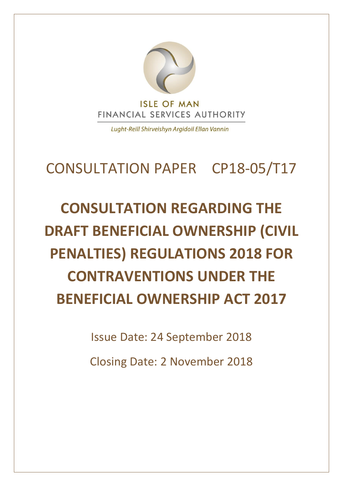

Lught-Reill Shirveishyn Argidoil Ellan Vannin

### CONSULTATION PAPER CP18-05/T17

## **CONSULTATION REGARDING THE DRAFT BENEFICIAL OWNERSHIP (CIVIL PENALTIES) REGULATIONS 2018 FOR CONTRAVENTIONS UNDER THE BENEFICIAL OWNERSHIP ACT 2017**

Issue Date: 24 September 2018

Closing Date: 2 November 2018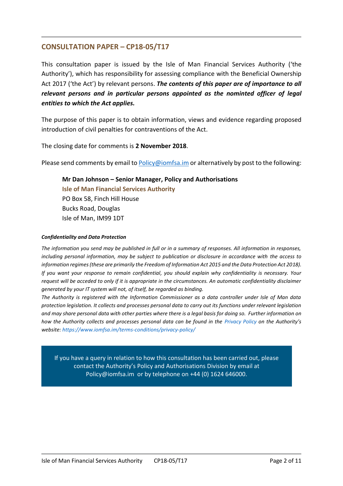#### **CONSULTATION PAPER – CP18-05/T17**

This consultation paper is issued by the Isle of Man Financial Services Authority ('the Authority'), which has responsibility for assessing compliance with the Beneficial Ownership Act 2017 ('the Act') by relevant persons. *The contents of this paper are of importance to all relevant persons and in particular persons appointed as the nominted officer of legal entities to which the Act applies.*

The purpose of this paper is to obtain information, views and evidence regarding proposed introduction of civil penalties for contraventions of the Act.

The closing date for comments is **2 November 2018**.

Please send comments by email to [Policy@iomfsa.im](mailto:Policy@iomfsa.im) or alternatively by post to the following:

**Mr Dan Johnson – Senior Manager, Policy and Authorisations Isle of Man Financial Services Authority** PO Box 58, Finch Hill House Bucks Road, Douglas Isle of Man, IM99 1DT

#### *Confidentiality and Data Protection*

*The information you send may be published in full or in a summary of responses. All information in responses, including personal information, may be subject to publication or disclosure in accordance with the access to information regimes (these are primarily the Freedom of Information Act 2015 and the Data Protection Act 2018). If you want your response to remain confidential, you should explain why confidentiality is necessary. Your request will be acceded to only if it is appropriate in the circumstances. An automatic confidentiality disclaimer generated by your IT system will not, of itself, be regarded as binding.*

*The Authority is registered with the Information Commissioner as a data controller under Isle of Man data protection legislation. It collects and processes personal data to carry out its functions under relevant legislation and may share personal data with other parties where there is a legal basis for doing so. Further information on how the Authority collects and processes personal data can be found in the [Privacy Policy](https://www.iomfsa.im/terms-conditions/privacy-policy/) on the Authority's website[: https://www.iomfsa.im/terms-conditions/privacy-policy/](https://www.iomfsa.im/terms-conditions/privacy-policy/)*

If you have a query in relation to how this consultation has been carried out, please contact the Authority's Policy and Authorisations Division by email at Policy@iomfsa.im or by telephone on +44 (0) 1624 646000.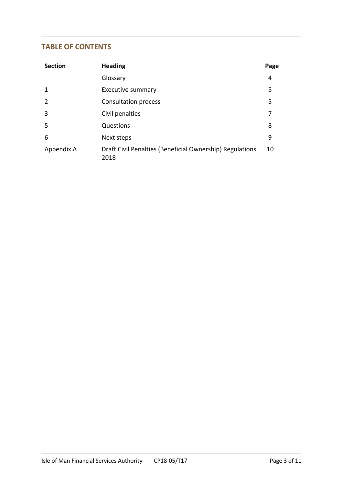#### **TABLE OF CONTENTS**

| <b>Section</b> | <b>Heading</b>                                                   | Page |
|----------------|------------------------------------------------------------------|------|
|                | Glossary                                                         | 4    |
| $\mathbf 1$    | Executive summary                                                | 5    |
| 2              | <b>Consultation process</b>                                      | 5    |
| $\overline{3}$ | Civil penalties                                                  | 7    |
| 5              | Questions                                                        | 8    |
| 6              | Next steps                                                       | 9    |
| Appendix A     | Draft Civil Penalties (Beneficial Ownership) Regulations<br>2018 | 10   |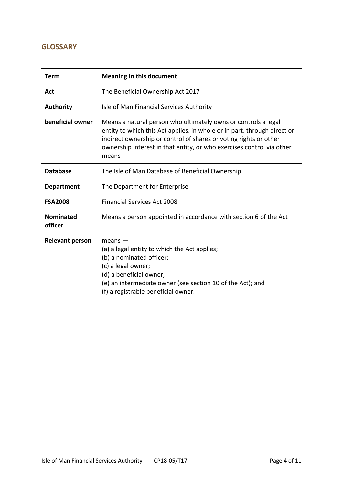#### **GLOSSARY**

| Term                        | <b>Meaning in this document</b>                                                                                                                                                                                                                                                                   |  |
|-----------------------------|---------------------------------------------------------------------------------------------------------------------------------------------------------------------------------------------------------------------------------------------------------------------------------------------------|--|
| Act                         | The Beneficial Ownership Act 2017                                                                                                                                                                                                                                                                 |  |
| <b>Authority</b>            | Isle of Man Financial Services Authority                                                                                                                                                                                                                                                          |  |
| beneficial owner            | Means a natural person who ultimately owns or controls a legal<br>entity to which this Act applies, in whole or in part, through direct or<br>indirect ownership or control of shares or voting rights or other<br>ownership interest in that entity, or who exercises control via other<br>means |  |
| <b>Database</b>             | The Isle of Man Database of Beneficial Ownership                                                                                                                                                                                                                                                  |  |
| <b>Department</b>           | The Department for Enterprise                                                                                                                                                                                                                                                                     |  |
| <b>FSA2008</b>              | <b>Financial Services Act 2008</b>                                                                                                                                                                                                                                                                |  |
| <b>Nominated</b><br>officer | Means a person appointed in accordance with section 6 of the Act                                                                                                                                                                                                                                  |  |
| <b>Relevant person</b>      | $means -$<br>(a) a legal entity to which the Act applies;<br>(b) a nominated officer;<br>(c) a legal owner;<br>(d) a beneficial owner;<br>(e) an intermediate owner (see section 10 of the Act); and<br>(f) a registrable beneficial owner.                                                       |  |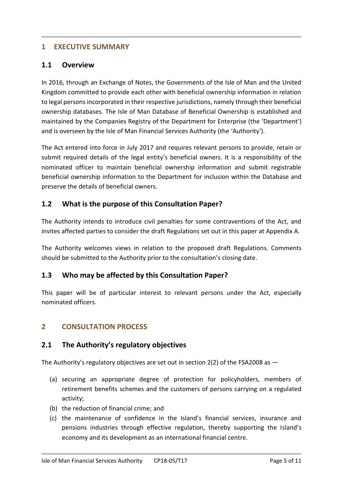#### **1 EXECUTIVE SUMMARY**

#### **1.1 Overview**

In 2016, through an Exchange of Notes, the Governments of the Isle of Man and the United Kingdom committed to provide each other with beneficial ownership information in relation to legal persons incorporated in their respective jurisdictions, namely through their beneficial ownership databases. The Isle of Man Database of Beneficial Ownership is established and maintained by the Companies Registry of the Department for Enterprise (the 'Department') and is overseen by the Isle of Man Financial Services Authority (the 'Authority').

The Act entered into force in July 2017 and requires relevant persons to provide, retain or submit required details of the legal entity's beneficial owners. It is a responsibility of the nominated officer to maintain beneficial ownership information and submit registrable beneficial ownership information to the Department for inclusion within the Database and preserve the details of beneficial owners.

#### **1.2 What is the purpose of this Consultation Paper?**

The Authority intends to introduce civil penalties for some contraventions of the Act, and invites affected parties to consider the draft Regulations set out in this paper at Appendix A.

The Authority welcomes views in relation to the proposed draft Regulations. Comments should be submitted to the Authority prior to the consultation's closing date.

#### **1.3 Who may be affected by this Consultation Paper?**

This paper will be of particular interest to relevant persons under the Act, especially nominated officers.

#### **2 CONSULTATION PROCESS**

#### **2.1 The Authority's regulatory objectives**

The Authority's regulatory objectives are set out in section 2(2) of the FSA2008 as —

- (a) securing an appropriate degree of protection for policyholders, members of retirement benefits schemes and the customers of persons carrying on a regulated activity;
- (b) the reduction of financial crime; and
- (c) the maintenance of confidence in the Island's financial services, insurance and pensions industries through effective regulation, thereby supporting the Island's economy and its development as an international financial centre.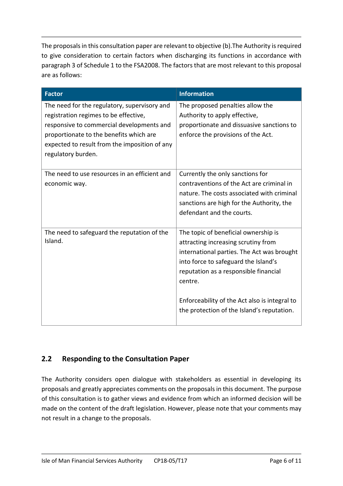The proposals in this consultation paper are relevant to objective (b).The Authority is required to give consideration to certain factors when discharging its functions in accordance with paragraph 3 of Schedule 1 to the FSA2008. The factors that are most relevant to this proposal are as follows:

| <b>Factor</b>                                                                                                                                                                                                                                        | <b>Information</b>                                                                                                                                                                                                                                                                                                   |
|------------------------------------------------------------------------------------------------------------------------------------------------------------------------------------------------------------------------------------------------------|----------------------------------------------------------------------------------------------------------------------------------------------------------------------------------------------------------------------------------------------------------------------------------------------------------------------|
| The need for the regulatory, supervisory and<br>registration regimes to be effective,<br>responsive to commercial developments and<br>proportionate to the benefits which are<br>expected to result from the imposition of any<br>regulatory burden. | The proposed penalties allow the<br>Authority to apply effective,<br>proportionate and dissuasive sanctions to<br>enforce the provisions of the Act.                                                                                                                                                                 |
| The need to use resources in an efficient and<br>economic way.                                                                                                                                                                                       | Currently the only sanctions for<br>contraventions of the Act are criminal in<br>nature. The costs associated with criminal<br>sanctions are high for the Authority, the<br>defendant and the courts.                                                                                                                |
| The need to safeguard the reputation of the<br>Island.                                                                                                                                                                                               | The topic of beneficial ownership is<br>attracting increasing scrutiny from<br>international parties. The Act was brought<br>into force to safeguard the Island's<br>reputation as a responsible financial<br>centre.<br>Enforceability of the Act also is integral to<br>the protection of the Island's reputation. |

#### **2.2 Responding to the Consultation Paper**

The Authority considers open dialogue with stakeholders as essential in developing its proposals and greatly appreciates comments on the proposals in this document. The purpose of this consultation is to gather views and evidence from which an informed decision will be made on the content of the draft legislation. However, please note that your comments may not result in a change to the proposals.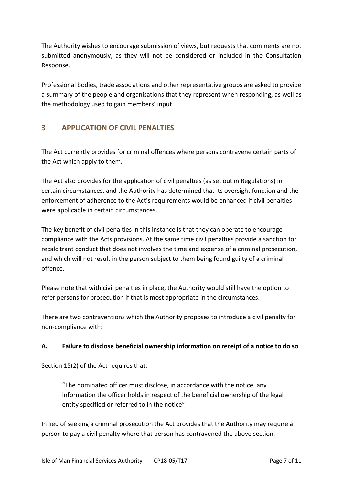The Authority wishes to encourage submission of views, but requests that comments are not submitted anonymously, as they will not be considered or included in the Consultation Response.

Professional bodies, trade associations and other representative groups are asked to provide a summary of the people and organisations that they represent when responding, as well as the methodology used to gain members' input.

#### **3 APPLICATION OF CIVIL PENALTIES**

The Act currently provides for criminal offences where persons contravene certain parts of the Act which apply to them.

The Act also provides for the application of civil penalties (as set out in Regulations) in certain circumstances, and the Authority has determined that its oversight function and the enforcement of adherence to the Act's requirements would be enhanced if civil penalties were applicable in certain circumstances.

The key benefit of civil penalties in this instance is that they can operate to encourage compliance with the Acts provisions. At the same time civil penalties provide a sanction for recalcitrant conduct that does not involves the time and expense of a criminal prosecution, and which will not result in the person subject to them being found guilty of a criminal offence.

Please note that with civil penalties in place, the Authority would still have the option to refer persons for prosecution if that is most appropriate in the circumstances.

There are two contraventions which the Authority proposes to introduce a civil penalty for non-compliance with:

#### **A. Failure to disclose beneficial ownership information on receipt of a notice to do so**

Section 15(2) of the Act requires that:

"The nominated officer must disclose, in accordance with the notice, any information the officer holds in respect of the beneficial ownership of the legal entity specified or referred to in the notice"

In lieu of seeking a criminal prosecution the Act provides that the Authority may require a person to pay a civil penalty where that person has contravened the above section.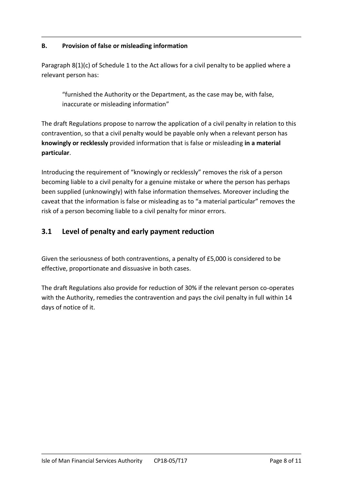#### **B. Provision of false or misleading information**

Paragraph 8(1)(c) of Schedule 1 to the Act allows for a civil penalty to be applied where a relevant person has:

"furnished the Authority or the Department, as the case may be, with false, inaccurate or misleading information"

The draft Regulations propose to narrow the application of a civil penalty in relation to this contravention, so that a civil penalty would be payable only when a relevant person has **knowingly or recklessly** provided information that is false or misleading **in a material particular**.

Introducing the requirement of "knowingly or recklessly" removes the risk of a person becoming liable to a civil penalty for a genuine mistake or where the person has perhaps been supplied (unknowingly) with false information themselves. Moreover including the caveat that the information is false or misleading as to "a material particular" removes the risk of a person becoming liable to a civil penalty for minor errors.

#### **3.1 Level of penalty and early payment reduction**

Given the seriousness of both contraventions, a penalty of £5,000 is considered to be effective, proportionate and dissuasive in both cases.

The draft Regulations also provide for reduction of 30% if the relevant person co-operates with the Authority, remedies the contravention and pays the civil penalty in full within 14 days of notice of it.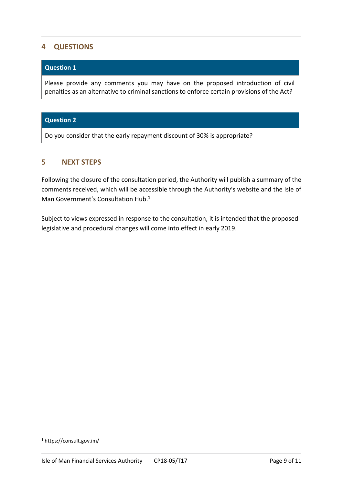#### **4 QUESTIONS**

#### **Question 1**

Please provide any comments you may have on the proposed introduction of civil penalties as an alternative to criminal sanctions to enforce certain provisions of the Act?

#### **Question 2**

Do you consider that the early repayment discount of 30% is appropriate?

#### **5 NEXT STEPS**

Following the closure of the consultation period, the Authority will publish a summary of the comments received, which will be accessible through the Authority's website and the Isle of Man Government's Consultation Hub. 1

Subject to views expressed in response to the consultation, it is intended that the proposed legislative and procedural changes will come into effect in early 2019.

1

<sup>1</sup> https://consult.gov.im/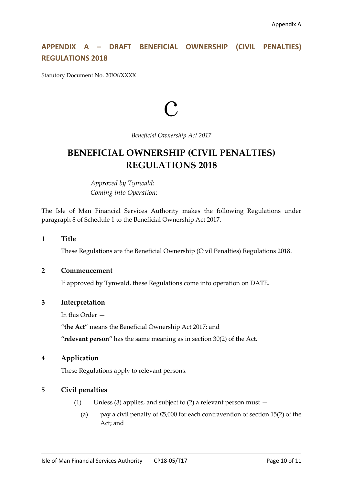#### **APPENDIX A – DRAFT BENEFICIAL OWNERSHIP (CIVIL PENALTIES) REGULATIONS 2018**

Statutory Document No. 20XX/XXXX

# c

*Beneficial Ownership Act 2017*

#### **BENEFICIAL OWNERSHIP (CIVIL PENALTIES) REGULATIONS 2018**

*Approved by Tynwald: Coming into Operation:*

The Isle of Man Financial Services Authority makes the following Regulations under paragraph 8 of Schedule 1 to the Beneficial Ownership Act 2017.

#### **1 Title**

These Regulations are the Beneficial Ownership (Civil Penalties) Regulations 2018.

#### **2 Commencement**

If approved by Tynwald, these Regulations come into operation on DATE.

#### **3 Interpretation**

In this Order —

"**the Act**" means the Beneficial Ownership Act 2017; and

**"relevant person"** has the same meaning as in section 30(2) of the Act.

#### **4 Application**

These Regulations apply to relevant persons.

#### **5 Civil penalties**

- (1) Unless (3) applies, and subject to (2) a relevant person must
	- (a) pay a civil penalty of  $£5,000$  for each contravention of section 15(2) of the Act; and